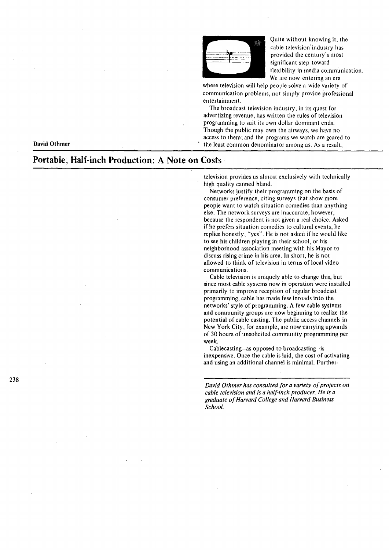

Quite without knowing it, the cable television'industry has provided the century's most significant step toward tlexibility in media communication. We are now entering an era

where television will help people solve a wide variety of communication problems, not simply provide professional entertainment.

The broadcast television industry, in its quest for advertizing revenue, has written the rules of television programming to suit its own dollar dominant ends. Though the public may own the airways, we have no access to them; and the programs we watch are geared to the least common denominator among us. As a result,

**David Othmer** 

# **Portable,** Half~inch **Production: A Note on Costs·**

television provides us almost exclusively with technically high quality canned bland.

Networks justify their programming on the basis of consumer preference, citing surveys that show more people want to watch situation comedies than anything else. The network surveys are inaccurate, however, because the respondent is not given a real choice. Asked if he prefers situation comedies to cultural events, he replies honestly, "yes". He is not asked if he would like to see his children playing in their school, or his neighborhood association meeting with his Mayor to discuss rising crime in his area. In short, he is not allowed to think of television in terms of local video communications.

Cable television is uniquely able to change this, but since most cable systems now in operation were installed primarily to improve reception of regular broadcast programming, cable has made few inroads into the networks' style of programming. A few cable systems and community groups are now beginning to realize the potential of cable casting. The public access channels in New York City, for example, are now carrying upwards of 30 hours of unsolicited community programming per week.

Cablecasting-as opposed to broadcasting-is inexpensive. Once the cable is laid, the cost of activating and using an additional channel is minimal. Further-

*David Othmer has consulted for a variety of projects on cable television and is a half-inch producer. He is a graduate of Harvard College and Harvard Business School.*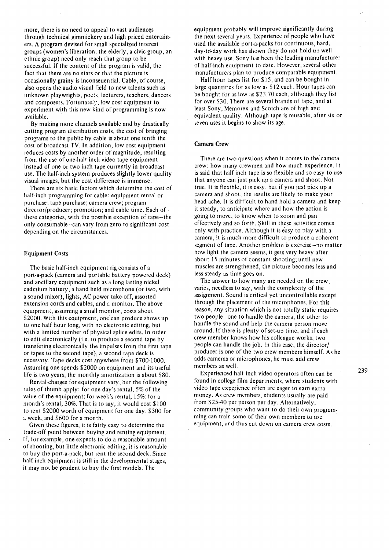more, there is no need to appeal to vast audiences through technical gimmickery and high priced entertainers. A program devised for small specialized interest groups (women's liberation, the elderly, a civic group, an ethnic group) need only reach that group to be successful. If the content of the program is valid, the fact that there are no stars or that the picture is occasionally grainy is inconseuential. Cable, of course, also opens the audio visual field to new talents such as unknown playwrights, poets, lecturers, teachers, dancers and composers. Fortunately, low cost equipment to experiment with this new kind of programming is now available.

By making more channels available and by drastically cutting program distribution costs, the cost of bringing programs to the public by cable is about one tenth the cost of broadcast TV. In addition, low cost equipment reduces costs by another order of magnitude, resulting from the use of one-half inch video tape equipment instead of one or two inch tape currently in broadcast use. The half-inch system produces slightly lower quality visual images, but the cost difference is immense.

There are six basic factors which determine the cost of half-inch programming for cable: equipment rental or purchase; tape purchase; camera crew; program director/producer; promotion; and cable time. Each of. these categories, with the possible exception of tape-the only consumable-can vary from zero to significant cost depending on the circumstances.

# Equipment Costs

The basic half-inch equipment rig consists of a port-a-pack (camera and portable battery powered deck) and ancillary equipment such as a long lasting nickel cadmium battery, a hand held microphone (or two, with a sound mixer), lights, AC power take-off, assorted extension cords and cables, and a monitor. The above equipment, assuming a small monitor, costs about \$2000. With this equipment, one can produce shows up to one half hour long, with no electronic editing, but with a limited number of physical splice edits. In order to edit electronically (i.e. to produce a second tape by transfering electronically the impulses from the first tape or tapes to the second tape), a second tape deck is necessary. Tape decks cost anywhere from \$700-1000. Assuming one spends \$2000 on equipment and its useful life is two years, the monthly amortization is about \$80.

Rental charges for equipment vary, but the following rules of thumb apply: for one day's rental, 5% of the value of the equipment; for week's rental, I 5%; for a month's rental,  $30\%$ . That is to say, it would cost \$100 to rent \$2000 worth of equipment for one day, \$300 for a week, and \$600 for a month.

Given these figures, it is fairly easy to determine the trade-off point between buying and renting equipment. If, for example, one expects to do a reasonable amount of shooting, but little electronic editing, it is reasonable to buy the port-a-pack, but rent the second deck. Since half inch equipment is still in the developmental stages, it may not be prudent to buy the first models. The

equipment probably will improve significantly during the next several years. Experience of people who have used the available port-a-packs for continuous, hard, day-to-day work has shown they do not hold up well with heavy use. Sony has been the leading manufacturer of half-inch equipment to date. However, several other manufacturers plan to produce comparable equipment.

Half hour tapes list for \$15, and can be bought in large quantities for as low as \$12 each. Hour tapes can be bought for as low as \$23.70 each, although they list for over \$30. There are several brands of tape, and at least Sony, Memorex and Scotch are of high and equivalent quality. Although tape is reusable, after six or seven uses it begins to show its age.

# Camera Crew

There are two questions when it comes to the camera crew: how many crewmen and how much experience. It is said that half inch tape is so tlexible and so easy to use that anyone can just pick up a camera and shoot. Not true. It is flexible, it is easy, but if you just pick up a camera and shoot, the results are likely to make your head ache. It is difficult to hand hold a camera and keep it steady, to anticipate where and how the action is going to move, to know when to zoom and pan effectively and so forth. Skill in these activities comes only with practice. Although it is easy to play with a camera, it is much more difficult to produce a coherent segment of tape. Another problem is exercise-no matter how light the camera seems, it gets very heavy after about 15 minutes of constant shooting; until new muscles are strengthened, the picture becomes less and less steady as time goes on.

The answer to how many are needed on the crew varies, needless to say, with the complexity of the assignment. Sound is critical yet uncontrollable except through the placement of the microphones. For this reason, any situation which is not totally static requires two people-one to handle the camera, the other to handle the sound and help the camera person move around. If there is plenty of set-up time, and if each crew member knows how his colleague works, two people can handle the job. In this case, the director/ producer is one of the two crew members himself. As he adds cameras or microphones, he must add crew members as well.

Experienced half inch video operators often can be found in college film departments, where students with video tape experience often are eager to earn extra money. As crew members, students usually are paid from \$25-40 per person per day. Alternatively, community groups who want to do their own program: ming can train some of their own members to use equipment, and thus cut down on camera crew costs.

239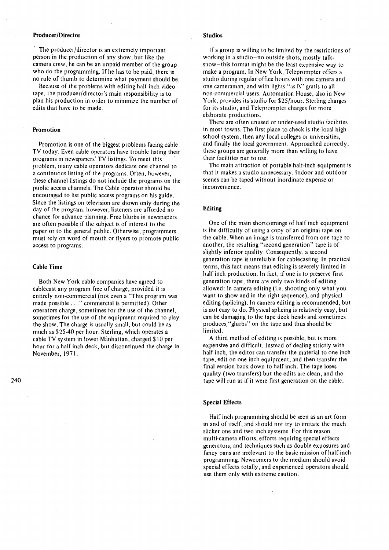# Producer /Director

The producer/director is an extremely important person in the production of any show, but like the camera crew, he can be an unpaid member of the group who do the programming. If he has to be paid, there is no rule of thumb to determine what payment should be.

Because of the problems with editing half inch video tape, the producer/director's main responsibility is to plan his production in order to minimize the number of edits that have to be made.

#### Promotion

Promotion is one of the biggest problems facing cable TV today. Even cable operators have trouble listing their programs in newspapers' TV listings. To meet this · problem, many cable operators dedicate one channel to a continuous listing of the programs. Often, however, these channel listings do not include the programs on the public access channels. The Cable operator should be encouraged to list public access programs on his guide. Since the listings on television are shown only during the day of the program, however, listeners are afforded no chance for advance planning. Free blurbs in newspapers are often possible if the subject is of interest to the paper or to the general public. Otherwise, programmers must rely on word of mouth or flyers to promote public access to programs.

## Cable Time

Both New York cable companies have agreed to cablecast any program free of charge, provided it is entirely non-commercial (not even a "This program was made possible ... "commercial is permitted). Other operators charge, sometimes for the use of the channel, sometimes for the use of the equipment required to play the show. The charge is usually small, but could be as much as \$25-40 per hour. Sterling, which operates a cable TV system in lower Manhattan, charged \$I 0 per hour for a half inch deck, but discontinued the charge in November, 1971.

240

#### Studios

If a group is willing to be limited by the restrictions of working in a studio-no outside shots, mostly talkshow-this format might be the least expensive way to make a program. In New York, Teleprompter offers a studio during regular office hours with one camera and one cameraman, and with lights "as is" gratis to all non-commercial users. Automation House, also in New York, provides its studio for \$25/hour. Sterling charges for its studio, and Teleprompter charges for more elaborate productions.

There are often unused or under-used studio facilities in most towns. The first place to check is the local high school system, then any local colleges or universities, and finally the local government. Approached correctly, these groups are generally more than willing to have their facilities put to use.

The main attraction of portable half-inch equipment is that it makes a studio unnecessary. Indoor and outdoor scenes can be taped without inordinate expense·or inconvenience.

## Editing

One of the main shortcomings of half inch equipment is the difficulty of using a copy of an original tape on the cable. When an image is transferred from one tape to another, the resulting "second generation" tape is of slightly inferior quality. Consequently, a second generation tape is unreliable for cablecasting. In practical terms, this fact means that editing is severely limited in half inch production. In fact, if one is to preserve first generation tape, there are only two kinds of editing allowed: in camera editing (i.e. shooting only what you want to show and in the right sequence), and physical editing (splicing). In camera editing is recommended, but is not easy to do. Physical splicing is relatively easy, but can be damaging to the tape deck heads and sometimes produces "glurbs" on the tape and thus should be limited.

A third method of editing is possible, but is more expensive and difficult. Instead of dealing strictly with half inch, the editor can transfer the material to one inch tape, edit on one inch equipment, and then transfer the final version back down to half inch. The tape loses quality (two transfers) but the edits are clean, and the tape will run as if it were first generation on the cable.

## Special Effects

Half inch programming should be seen as an art form in and of itself, and should not try to imitate the much slicker one and two inch systems. For this reason multi-camera efforts, efforts requiring special effects generators, and techniques such as double exposures and fancy pans are irrelevant to the basic mission of half inch programming. Newcomers to the medium should avoid special effects totally, and experienced operators should use them only with extreme caution.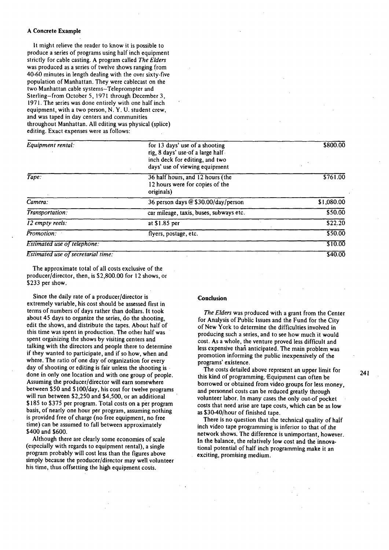## A Concrete Example

It might relieve the reader to know it is possible to produce a series of programs using half inch equipment strictly for cable casting. A program called *The Elders*  was produced as a series of twelve shows ranging from 40-60 minutes in length dealing with the over sixty-five population of Manhattan. They were cablecast on the two Manhattan cable systems-Teleprompter and Sterling-from October S, 1971 through December 3, 1971. The series was done entirely with one half inch equipment, with a two person, N. Y. U. student crew, and was taped in day centers and communities throughout Manhattan. All editing was physical (splice) editing. Exact expenses were as follows:

| Equipment rental:                         | for 13 days' use of a shooting<br>rig, 8 days' use of a large half<br>inch deck for editing, and two<br>days' use of viewing equipment | \$800.00   |
|-------------------------------------------|----------------------------------------------------------------------------------------------------------------------------------------|------------|
| Tape:                                     | 36 half hours, and 12 hours (the<br>12 hours were for copies of the<br>originals)                                                      | \$761.00   |
| Camera:                                   | 36 person days @ \$30.00/day/person                                                                                                    | \$1,080.00 |
| Transportation:                           | car mileage, taxis, buses, subways etc.                                                                                                | 550.00     |
| 12 empty reels:                           | at \$1.85 per                                                                                                                          | \$22.20    |
| Promotion:                                | flyers, postage, etc.                                                                                                                  | \$50.00    |
| <b>Estimated use of telephone:</b>        |                                                                                                                                        | \$10.00    |
| <b>Estimated use of secretarial time:</b> |                                                                                                                                        | \$40.00    |

The approximate total of all costs exclusive of the producer/director, then, is \$2,800.00 for 12 shows, or \$233 per show.

Since the daily rate of a producer/director is extremely variable, his cost should be assessed first in terms of numbers of days rather than dollars. It took about 45 days to organize the series, do the shooting, edit the shows, and distribute the tapes. About half of this time was spent in production. The other half was spent organizing the shows by visiting centers and talking with the directors and people there to determine if they wanted to participate, and if so how, when and where. The ratio of one day of organization for every day of shooting or editing is fair unless the shooting is done in only one location and with one group of people. Assuming the producer/director will earn somewhere between \$50 and \$100/day, his cost for twelve programs will run between \$2,250 and \$4,500, or an additional \$185 to \$375 per program. Total costs on a per program basis, of nearly one hour per program, assuming nothing is provided free of charge (no free equipment, no free time) can be assumed to fall between approximately \$400 and \$600.

Although there are clearly some economies of scale (especially with regards to equipment rental), a single program probably will cost less than the figures above simply because the producer/director may well volunteer his time, thus offsetting the high equipment costs.

#### Conclusion

*The Elders* was produced with a grant from the Center for Analysis of Public Issues and the Fund for the City of New York to determine the difficulties involved in producing such a series, and to see how much it would cost. As a whole, the venture proved less difficult and less expensive than anticipated. The main problem was promotion informing the public inexpensively of the programs' existence.

The costs detailed above represent an upper limit for this kind of programming. 'Equipment can often be borrowed or obtained from video groups for less money, and personnel costs can be reduced greatly through volunteer labor. In many cases the only out-of pocket costs that need arise are tape costs, which can be as low as \$30-40/hour of finished tape.

There is no question that the technical quality of half inch video tape programming is inferior to that of.the network shows. The difference is unimportant, however. In the balance, the relatively low cost and the innovational potential of half inch programming make it an exciting, promising medium.

241